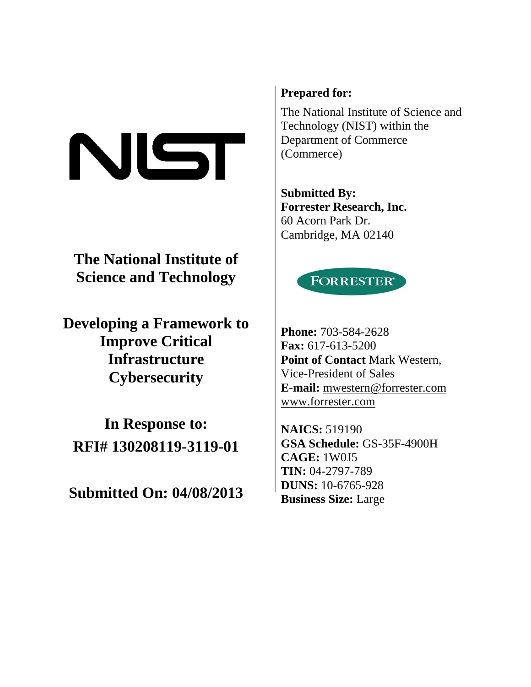# NIST

**The National Institute of Science and Technology** 

**Developing a Framework to Improve Critical Infrastructure Cybersecurity** 

**In Response to: RFI# 130208119-3119-01** 

**Submitted On: 04/08/2013** 

# **Prepared for:**

The National Institute of Science and Technology (NIST) within the Department of Commerce (Commerce)

**Submitted By: Forrester Research, Inc.**  60 Acorn Park Dr. Cambridge, MA 02140



**Phone:** 703-584-2628 **Fax:** 617-613-5200 **Point of Contact** Mark Western, Vice-President of Sales **E-mail:** mwestern@forrester.com www.forrester.com

**NAICS:** 519190 **GSA Schedule:** GS-35F-4900H **CAGE:** 1W0J5 **TIN:** 04-2797-789 **DUNS:** 10-6765-928 **Business Size:** Large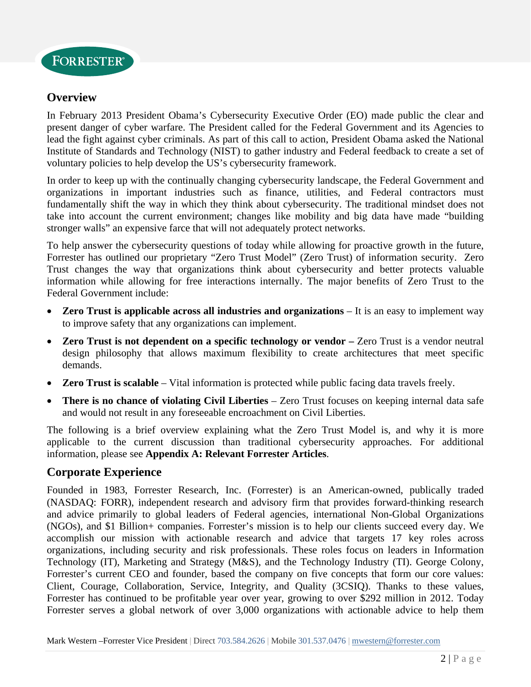

## **Overview**

In February 2013 President Obama's Cybersecurity Executive Order (EO) made public the clear and present danger of cyber warfare. The President called for the Federal Government and its Agencies to lead the fight against cyber criminals. As part of this call to action, President Obama asked the National Institute of Standards and Technology (NIST) to gather industry and Federal feedback to create a set of voluntary policies to help develop the US's cybersecurity framework.

In order to keep up with the continually changing cybersecurity landscape, the Federal Government and organizations in important industries such as finance, utilities, and Federal contractors must fundamentally shift the way in which they think about cybersecurity. The traditional mindset does not take into account the current environment; changes like mobility and big data have made "building stronger walls" an expensive farce that will not adequately protect networks.

To help answer the cybersecurity questions of today while allowing for proactive growth in the future, Forrester has outlined our proprietary "Zero Trust Model" (Zero Trust) of information security. Zero Trust changes the way that organizations think about cybersecurity and better protects valuable information while allowing for free interactions internally. The major benefits of Zero Trust to the Federal Government include:

- **Zero Trust is applicable across all industries and organizations** It is an easy to implement way to improve safety that any organizations can implement.
- **Zero Trust is not dependent on a specific technology or vendor** Zero Trust is a vendor neutral design philosophy that allows maximum flexibility to create architectures that meet specific demands.
- **Zero Trust is scalable** Vital information is protected while public facing data travels freely.
- **There is no chance of violating Civil Liberties** Zero Trust focuses on keeping internal data safe and would not result in any foreseeable encroachment on Civil Liberties.

The following is a brief overview explaining what the Zero Trust Model is, and why it is more applicable to the current discussion than traditional cybersecurity approaches. For additional information, please see **Appendix A: Relevant Forrester Articles**.

#### **Corporate Experience**

Founded in 1983, Forrester Research, Inc. (Forrester) is an American-owned, publically traded (NASDAQ: FORR), independent research and advisory firm that provides forward-thinking research and advice primarily to global leaders of Federal agencies, international Non-Global Organizations (NGOs), and \$1 Billion+ companies. Forrester's mission is to help our clients succeed every day. We accomplish our mission with actionable research and advice that targets 17 key roles across organizations, including security and risk professionals. These roles focus on leaders in Information Technology (IT), Marketing and Strategy (M&S), and the Technology Industry (TI). George Colony, Forrester's current CEO and founder, based the company on five concepts that form our core values: Client, Courage, Collaboration, Service, Integrity, and Quality (3CSIQ). Thanks to these values, Forrester has continued to be profitable year over year, growing to over \$292 million in 2012. Today Forrester serves a global network of over 3,000 organizations with actionable advice to help them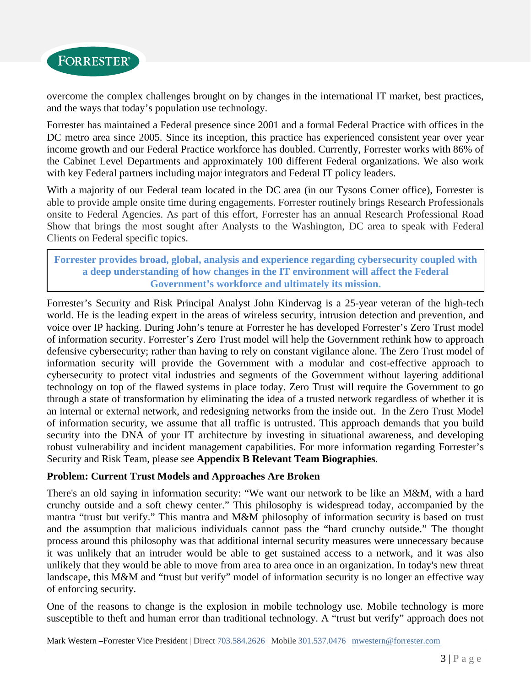

overcome the complex challenges brought on by changes in the international IT market, best practices, and the ways that today's population use technology.

Forrester has maintained a Federal presence since 2001 and a formal Federal Practice with offices in the DC metro area since 2005. Since its inception, this practice has experienced consistent year over year income growth and our Federal Practice workforce has doubled. Currently, Forrester works with 86% of the Cabinet Level Departments and approximately 100 different Federal organizations. We also work with key Federal partners including major integrators and Federal IT policy leaders.

With a majority of our Federal team located in the DC area (in our Tysons Corner office), Forrester is able to provide ample onsite time during engagements. Forrester routinely brings Research Professionals onsite to Federal Agencies. As part of this effort, Forrester has an annual Research Professional Road Show that brings the most sought after Analysts to the Washington, DC area to speak with Federal Clients on Federal specific topics.

**Forrester provides broad, global, analysis and experience regarding cybersecurity coupled with a deep understanding of how changes in the IT environment will affect the Federal Government's workforce and ultimately its mission.** 

Forrester's Security and Risk Principal Analyst John Kindervag is a 25-year veteran of the high-tech world. He is the leading expert in the areas of wireless security, intrusion detection and prevention, and voice over IP hacking. During John's tenure at Forrester he has developed Forrester's Zero Trust model of information security. Forrester's Zero Trust model will help the Government rethink how to approach defensive cybersecurity; rather than having to rely on constant vigilance alone. The Zero Trust model of information security will provide the Government with a modular and cost-effective approach to cybersecurity to protect vital industries and segments of the Government without layering additional technology on top of the flawed systems in place today. Zero Trust will require the Government to go through a state of transformation by eliminating the idea of a trusted network regardless of whether it is an internal or external network, and redesigning networks from the inside out. In the Zero Trust Model of information security, we assume that all traffic is untrusted. This approach demands that you build security into the DNA of your IT architecture by investing in situational awareness, and developing robust vulnerability and incident management capabilities. For more information regarding Forrester's Security and Risk Team, please see **Appendix B Relevant Team Biographies**.

#### **Problem: Current Trust Models and Approaches Are Broken**

There's an old saying in information security: "We want our network to be like an M&M, with a hard crunchy outside and a soft chewy center." This philosophy is widespread today, accompanied by the mantra "trust but verify." This mantra and M&M philosophy of information security is based on trust and the assumption that malicious individuals cannot pass the "hard crunchy outside." The thought process around this philosophy was that additional internal security measures were unnecessary because it was unlikely that an intruder would be able to get sustained access to a network, and it was also unlikely that they would be able to move from area to area once in an organization. In today's new threat landscape, this M&M and "trust but verify" model of information security is no longer an effective way of enforcing security.

One of the reasons to change is the explosion in mobile technology use. Mobile technology is more susceptible to theft and human error than traditional technology. A "trust but verify" approach does not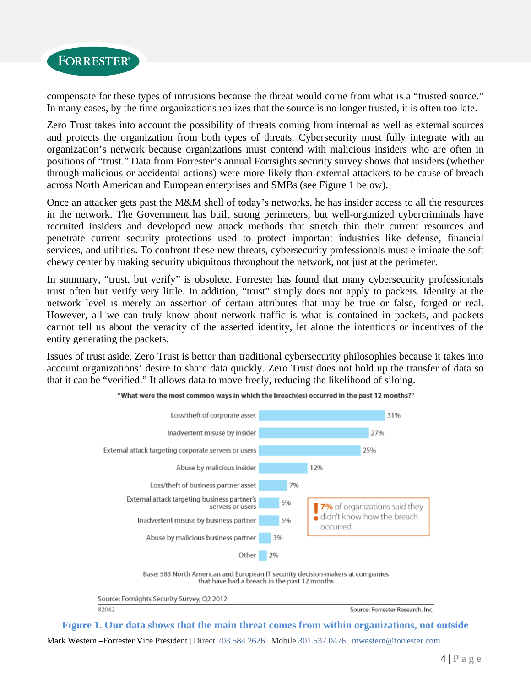

compensate for these types of intrusions because the threat would come from what is a "trusted source." In many cases, by the time organizations realizes that the source is no longer trusted, it is often too late.

Zero Trust takes into account the possibility of threats coming from internal as well as external sources and protects the organization from both types of threats. Cybersecurity must fully integrate with an organization's network because organizations must contend with malicious insiders who are often in positions of "trust." Data from Forrester's annual Forrsights security survey shows that insiders (whether through malicious or accidental actions) were more likely than external attackers to be cause of breach across North American and European enterprises and SMBs (see Figure 1 below).

Once an attacker gets past the M&M shell of today's networks, he has insider access to all the resources in the network. The Government has built strong perimeters, but well-organized cybercriminals have recruited insiders and developed new attack methods that stretch thin their current resources and penetrate current security protections used to protect important industries like defense, financial services, and utilities. To confront these new threats, cybersecurity professionals must eliminate the soft chewy center by making security ubiquitous throughout the network, not just at the perimeter.

In summary, "trust, but verify" is obsolete. Forrester has found that many cybersecurity professionals trust often but verify very little. In addition, "trust" simply does not apply to packets. Identity at the network level is merely an assertion of certain attributes that may be true or false, forged or real. However, all we can truly know about network traffic is what is contained in packets, and packets cannot tell us about the veracity of the asserted identity, let alone the intentions or incentives of the entity generating the packets.

Issues of trust aside, Zero Trust is better than traditional cybersecurity philosophies because it takes into account organizations' desire to share data quickly. Zero Trust does not hold up the transfer of data so that it can be "verified." It allows data to move freely, reducing the likelihood of siloing.



"What were the most common ways in which the breach(es) occurred in the past 12 months?"

Base: 583 North American and European IT security decision-makers at companies that have had a breach in the past 12 months

Source: Forrsights Security Survey, Q2 2012 82042

Source: Forrester Research, Inc.

Mark Western –Forrester Vice President | Direct 703.584.2626 | Mobile 301.537.0476 | mwestern@forrester.com **Figure 1. Our data shows that the main threat comes from within organizations, not outside**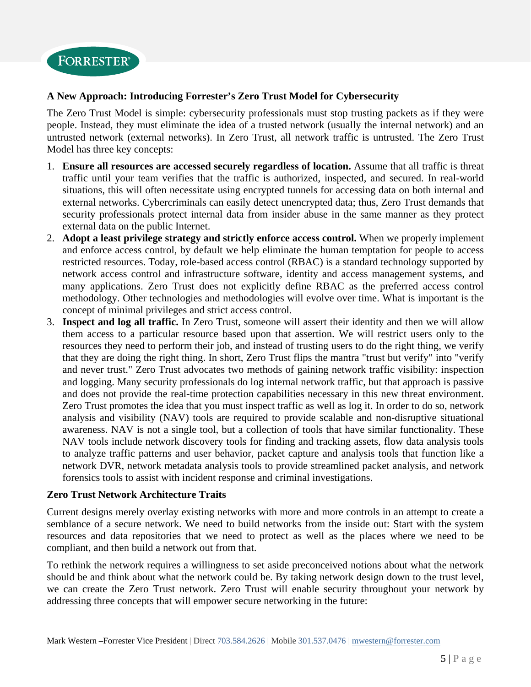

#### **A New Approach: Introducing Forrester's Zero Trust Model for Cybersecurity**

The Zero Trust Model is simple: cybersecurity professionals must stop trusting packets as if they were people. Instead, they must eliminate the idea of a trusted network (usually the internal network) and an untrusted network (external networks). In Zero Trust, all network traffic is untrusted. The Zero Trust Model has three key concepts:

- 1. **Ensure all resources are accessed securely regardless of location.** Assume that all traffic is threat traffic until your team verifies that the traffic is authorized, inspected, and secured. In real-world situations, this will often necessitate using encrypted tunnels for accessing data on both internal and external networks. Cybercriminals can easily detect unencrypted data; thus, Zero Trust demands that security professionals protect internal data from insider abuse in the same manner as they protect external data on the public Internet.
- 2. **Adopt a least privilege strategy and strictly enforce access control.** When we properly implement and enforce access control, by default we help eliminate the human temptation for people to access restricted resources. Today, role-based access control (RBAC) is a standard technology supported by network access control and infrastructure software, identity and access management systems, and many applications. Zero Trust does not explicitly define RBAC as the preferred access control methodology. Other technologies and methodologies will evolve over time. What is important is the concept of minimal privileges and strict access control.
- 3. **Inspect and log all traffic.** In Zero Trust, someone will assert their identity and then we will allow them access to a particular resource based upon that assertion. We will restrict users only to the resources they need to perform their job, and instead of trusting users to do the right thing, we verify that they are doing the right thing. In short, Zero Trust flips the mantra "trust but verify" into "verify and never trust." Zero Trust advocates two methods of gaining network traffic visibility: inspection and logging. Many security professionals do log internal network traffic, but that approach is passive and does not provide the real-time protection capabilities necessary in this new threat environment. Zero Trust promotes the idea that you must inspect traffic as well as log it. In order to do so, network analysis and visibility (NAV) tools are required to provide scalable and non-disruptive situational awareness. NAV is not a single tool, but a collection of tools that have similar functionality. These NAV tools include network discovery tools for finding and tracking assets, flow data analysis tools to analyze traffic patterns and user behavior, packet capture and analysis tools that function like a network DVR, network metadata analysis tools to provide streamlined packet analysis, and network forensics tools to assist with incident response and criminal investigations.

#### **Zero Trust Network Architecture Traits**

Current designs merely overlay existing networks with more and more controls in an attempt to create a semblance of a secure network. We need to build networks from the inside out: Start with the system resources and data repositories that we need to protect as well as the places where we need to be compliant, and then build a network out from that.

To rethink the network requires a willingness to set aside preconceived notions about what the network should be and think about what the network could be. By taking network design down to the trust level, we can create the Zero Trust network. Zero Trust will enable security throughout your network by addressing three concepts that will empower secure networking in the future: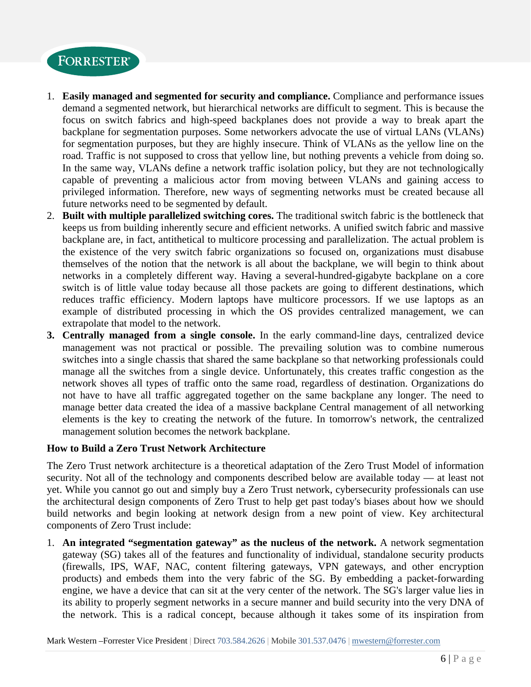

- 1. **Easily managed and segmented for security and compliance.** Compliance and performance issues demand a segmented network, but hierarchical networks are difficult to segment. This is because the focus on switch fabrics and high-speed backplanes does not provide a way to break apart the backplane for segmentation purposes. Some networkers advocate the use of virtual LANs (VLANs) for segmentation purposes, but they are highly insecure. Think of VLANs as the yellow line on the road. Traffic is not supposed to cross that yellow line, but nothing prevents a vehicle from doing so. In the same way, VLANs define a network traffic isolation policy, but they are not technologically capable of preventing a malicious actor from moving between VLANs and gaining access to privileged information. Therefore, new ways of segmenting networks must be created because all future networks need to be segmented by default.
- 2. **Built with multiple parallelized switching cores.** The traditional switch fabric is the bottleneck that keeps us from building inherently secure and efficient networks. A unified switch fabric and massive backplane are, in fact, antithetical to multicore processing and parallelization. The actual problem is the existence of the very switch fabric organizations so focused on, organizations must disabuse themselves of the notion that the network is all about the backplane, we will begin to think about networks in a completely different way. Having a several-hundred-gigabyte backplane on a core switch is of little value today because all those packets are going to different destinations, which reduces traffic efficiency. Modern laptops have multicore processors. If we use laptops as an example of distributed processing in which the OS provides centralized management, we can extrapolate that model to the network.
- **3.** Centrally managed from a single console. In the early command-line days, centralized device management was not practical or possible. The prevailing solution was to combine numerous switches into a single chassis that shared the same backplane so that networking professionals could manage all the switches from a single device. Unfortunately, this creates traffic congestion as the network shoves all types of traffic onto the same road, regardless of destination. Organizations do not have to have all traffic aggregated together on the same backplane any longer. The need to manage better data created the idea of a massive backplane Central management of all networking elements is the key to creating the network of the future. In tomorrow's network, the centralized management solution becomes the network backplane.

#### **How to Build a Zero Trust Network Architecture**

The Zero Trust network architecture is a theoretical adaptation of the Zero Trust Model of information security. Not all of the technology and components described below are available today — at least not yet. While you cannot go out and simply buy a Zero Trust network, cybersecurity professionals can use the architectural design components of Zero Trust to help get past today's biases about how we should build networks and begin looking at network design from a new point of view. Key architectural components of Zero Trust include:

1. An integrated "segmentation gateway" as the nucleus of the network. A network segmentation gateway (SG) takes all of the features and functionality of individual, standalone security products (firewalls, IPS, WAF, NAC, content filtering gateways, VPN gateways, and other encryption products) and embeds them into the very fabric of the SG. By embedding a packet-forwarding engine, we have a device that can sit at the very center of the network. The SG's larger value lies in its ability to properly segment networks in a secure manner and build security into the very DNA of the network. This is a radical concept, because although it takes some of its inspiration from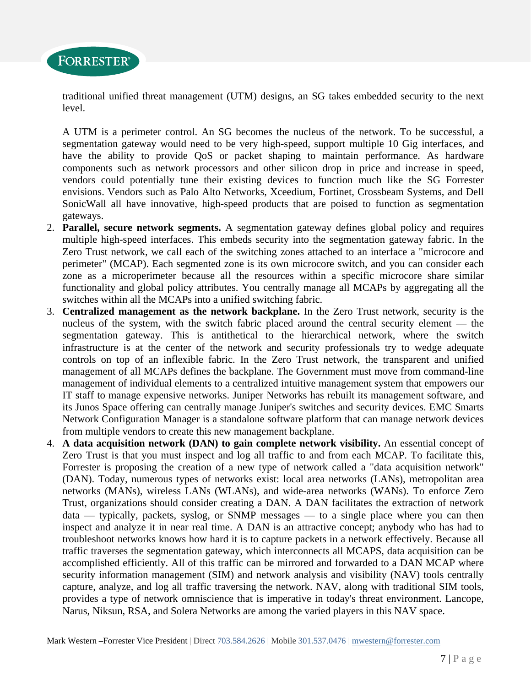

traditional unified threat management (UTM) designs, an SG takes embedded security to the next level.

A UTM is a perimeter control. An SG becomes the nucleus of the network. To be successful, a segmentation gateway would need to be very high-speed, support multiple 10 Gig interfaces, and have the ability to provide QoS or packet shaping to maintain performance. As hardware components such as network processors and other silicon drop in price and increase in speed, vendors could potentially tune their existing devices to function much like the SG Forrester envisions. Vendors such as Palo Alto Networks, Xceedium, Fortinet, Crossbeam Systems, and Dell SonicWall all have innovative, high-speed products that are poised to function as segmentation gateways.

- 2. **Parallel, secure network segments.** A segmentation gateway defines global policy and requires multiple high-speed interfaces. This embeds security into the segmentation gateway fabric. In the Zero Trust network, we call each of the switching zones attached to an interface a "microcore and perimeter" (MCAP). Each segmented zone is its own microcore switch, and you can consider each zone as a microperimeter because all the resources within a specific microcore share similar functionality and global policy attributes. You centrally manage all MCAPs by aggregating all the switches within all the MCAPs into a unified switching fabric.
- 3. **Centralized management as the network backplane.** In the Zero Trust network, security is the nucleus of the system, with the switch fabric placed around the central security element — the segmentation gateway. This is antithetical to the hierarchical network, where the switch infrastructure is at the center of the network and security professionals try to wedge adequate controls on top of an inflexible fabric. In the Zero Trust network, the transparent and unified management of all MCAPs defines the backplane. The Government must move from command-line management of individual elements to a centralized intuitive management system that empowers our IT staff to manage expensive networks. Juniper Networks has rebuilt its management software, and its Junos Space offering can centrally manage Juniper's switches and security devices. EMC Smarts Network Configuration Manager is a standalone software platform that can manage network devices from multiple vendors to create this new management backplane.
- 4. **A data acquisition network (DAN) to gain complete network visibility.** An essential concept of Zero Trust is that you must inspect and log all traffic to and from each MCAP. To facilitate this, Forrester is proposing the creation of a new type of network called a "data acquisition network" (DAN). Today, numerous types of networks exist: local area networks (LANs), metropolitan area networks (MANs), wireless LANs (WLANs), and wide-area networks (WANs). To enforce Zero Trust, organizations should consider creating a DAN. A DAN facilitates the extraction of network data — typically, packets, syslog, or SNMP messages — to a single place where you can then inspect and analyze it in near real time. A DAN is an attractive concept; anybody who has had to troubleshoot networks knows how hard it is to capture packets in a network effectively. Because all traffic traverses the segmentation gateway, which interconnects all MCAPS, data acquisition can be accomplished efficiently. All of this traffic can be mirrored and forwarded to a DAN MCAP where security information management (SIM) and network analysis and visibility (NAV) tools centrally capture, analyze, and log all traffic traversing the network. NAV, along with traditional SIM tools, provides a type of network omniscience that is imperative in today's threat environment. Lancope, Narus, Niksun, RSA, and Solera Networks are among the varied players in this NAV space.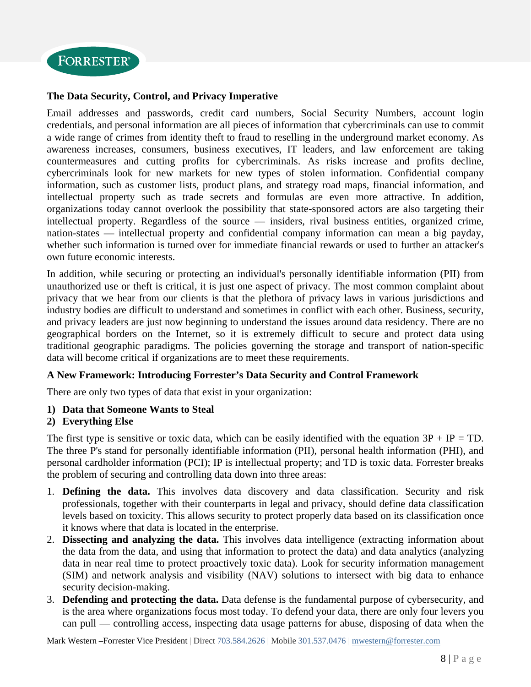

#### **The Data Security, Control, and Privacy Imperative**

Email addresses and passwords, credit card numbers, Social Security Numbers, account login credentials, and personal information are all pieces of information that cybercriminals can use to commit a wide range of crimes from identity theft to fraud to reselling in the underground market economy. As awareness increases, consumers, business executives, IT leaders, and law enforcement are taking countermeasures and cutting profits for cybercriminals. As risks increase and profits decline, cybercriminals look for new markets for new types of stolen information. Confidential company information, such as customer lists, product plans, and strategy road maps, financial information, and intellectual property such as trade secrets and formulas are even more attractive. In addition, organizations today cannot overlook the possibility that state-sponsored actors are also targeting their intellectual property. Regardless of the source — insiders, rival business entities, organized crime, nation-states — intellectual property and confidential company information can mean a big payday, whether such information is turned over for immediate financial rewards or used to further an attacker's own future economic interests.

In addition, while securing or protecting an individual's personally identifiable information (PII) from unauthorized use or theft is critical, it is just one aspect of privacy. The most common complaint about privacy that we hear from our clients is that the plethora of privacy laws in various jurisdictions and industry bodies are difficult to understand and sometimes in conflict with each other. Business, security, and privacy leaders are just now beginning to understand the issues around data residency. There are no geographical borders on the Internet, so it is extremely difficult to secure and protect data using traditional geographic paradigms. The policies governing the storage and transport of nation-specific data will become critical if organizations are to meet these requirements.

#### **A New Framework: Introducing Forrester's Data Security and Control Framework**

There are only two types of data that exist in your organization:

#### **1) Data that Someone Wants to Steal**

#### **2) Everything Else**

The first type is sensitive or toxic data, which can be easily identified with the equation  $3P + IP = TD$ . The three P's stand for personally identifiable information (PII), personal health information (PHI), and personal cardholder information (PCI); IP is intellectual property; and TD is toxic data. Forrester breaks the problem of securing and controlling data down into three areas:

- 1. **Defining the data.** This involves data discovery and data classification. Security and risk professionals, together with their counterparts in legal and privacy, should define data classification levels based on toxicity. This allows security to protect properly data based on its classification once it knows where that data is located in the enterprise.
- 2. **Dissecting and analyzing the data.** This involves data intelligence (extracting information about the data from the data, and using that information to protect the data) and data analytics (analyzing data in near real time to protect proactively toxic data). Look for security information management (SIM) and network analysis and visibility (NAV) solutions to intersect with big data to enhance security decision-making.
- 3. **Defending and protecting the data.** Data defense is the fundamental purpose of cybersecurity, and is the area where organizations focus most today. To defend your data, there are only four levers you can pull — controlling access, inspecting data usage patterns for abuse, disposing of data when the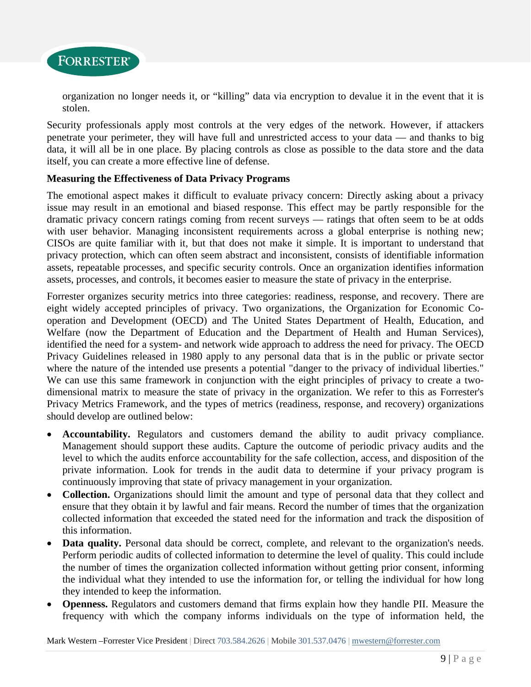

organization no longer needs it, or "killing" data via encryption to devalue it in the event that it is stolen.

Security professionals apply most controls at the very edges of the network. However, if attackers penetrate your perimeter, they will have full and unrestricted access to your data — and thanks to big data, it will all be in one place. By placing controls as close as possible to the data store and the data itself, you can create a more effective line of defense.

#### **Measuring the Effectiveness of Data Privacy Programs**

The emotional aspect makes it difficult to evaluate privacy concern: Directly asking about a privacy issue may result in an emotional and biased response. This effect may be partly responsible for the dramatic privacy concern ratings coming from recent surveys — ratings that often seem to be at odds with user behavior. Managing inconsistent requirements across a global enterprise is nothing new; CISOs are quite familiar with it, but that does not make it simple. It is important to understand that privacy protection, which can often seem abstract and inconsistent, consists of identifiable information assets, repeatable processes, and specific security controls. Once an organization identifies information assets, processes, and controls, it becomes easier to measure the state of privacy in the enterprise.

Forrester organizes security metrics into three categories: readiness, response, and recovery. There are eight widely accepted principles of privacy. Two organizations, the Organization for Economic Cooperation and Development (OECD) and The United States Department of Health, Education, and Welfare (now the Department of Education and the Department of Health and Human Services), identified the need for a system- and network wide approach to address the need for privacy. The OECD Privacy Guidelines released in 1980 apply to any personal data that is in the public or private sector where the nature of the intended use presents a potential "danger to the privacy of individual liberties." We can use this same framework in conjunction with the eight principles of privacy to create a twodimensional matrix to measure the state of privacy in the organization. We refer to this as Forrester's Privacy Metrics Framework, and the types of metrics (readiness, response, and recovery) organizations should develop are outlined below:

- **Accountability.** Regulators and customers demand the ability to audit privacy compliance. Management should support these audits. Capture the outcome of periodic privacy audits and the level to which the audits enforce accountability for the safe collection, access, and disposition of the private information. Look for trends in the audit data to determine if your privacy program is continuously improving that state of privacy management in your organization.
- **Collection.** Organizations should limit the amount and type of personal data that they collect and ensure that they obtain it by lawful and fair means. Record the number of times that the organization collected information that exceeded the stated need for the information and track the disposition of this information.
- Data quality. Personal data should be correct, complete, and relevant to the organization's needs. Perform periodic audits of collected information to determine the level of quality. This could include the number of times the organization collected information without getting prior consent, informing the individual what they intended to use the information for, or telling the individual for how long they intended to keep the information.
- **Openness.** Regulators and customers demand that firms explain how they handle PII. Measure the frequency with which the company informs individuals on the type of information held, the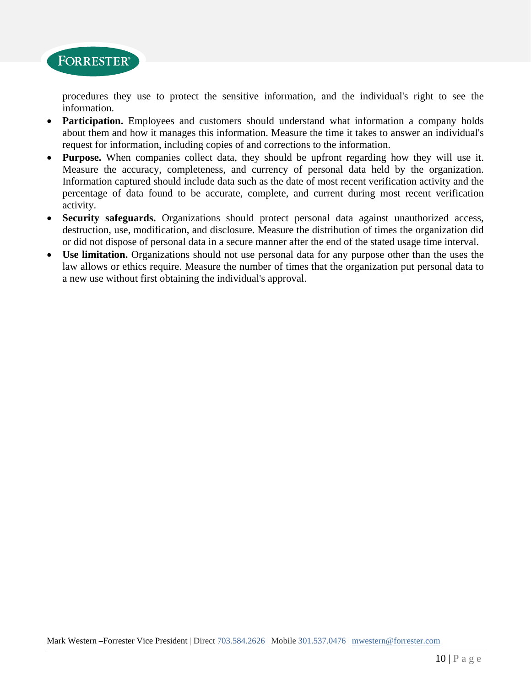

procedures they use to protect the sensitive information, and the individual's right to see the information.

- **Participation.** Employees and customers should understand what information a company holds about them and how it manages this information. Measure the time it takes to answer an individual's request for information, including copies of and corrections to the information.
- **Purpose.** When companies collect data, they should be upfront regarding how they will use it. Measure the accuracy, completeness, and currency of personal data held by the organization. Information captured should include data such as the date of most recent verification activity and the percentage of data found to be accurate, complete, and current during most recent verification activity.
- **Security safeguards.** Organizations should protect personal data against unauthorized access, destruction, use, modification, and disclosure. Measure the distribution of times the organization did or did not dispose of personal data in a secure manner after the end of the stated usage time interval.
- **Use limitation.** Organizations should not use personal data for any purpose other than the uses the law allows or ethics require. Measure the number of times that the organization put personal data to a new use without first obtaining the individual's approval.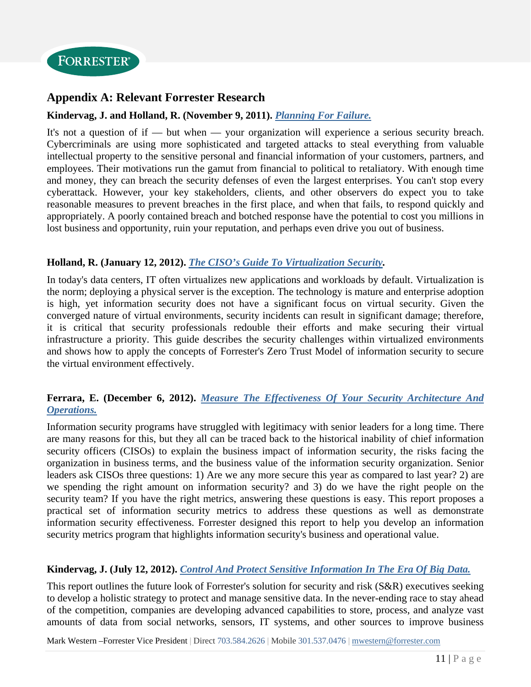

## **Appendix A: Relevant Forrester Research**

#### **Kindervag, J. and Holland, R. (November 9, 2011).** *Planning For Failure.*

It's not a question of if — but when — your organization will experience a serious security breach. Cybercriminals are using more sophisticated and targeted attacks to steal everything from valuable intellectual property to the sensitive personal and financial information of your customers, partners, and employees. Their motivations run the gamut from financial to political to retaliatory. With enough time and money, they can breach the security defenses of even the largest enterprises. You can't stop every cyberattack. However, your key stakeholders, clients, and other observers do expect you to take reasonable measures to prevent breaches in the first place, and when that fails, to respond quickly and appropriately. A poorly contained breach and botched response have the potential to cost you millions in lost business and opportunity, ruin your reputation, and perhaps even drive you out of business.

#### **Holland, R. (January 12, 2012).** *The CISO's Guide To Virtualization Security.*

In today's data centers, IT often virtualizes new applications and workloads by default. Virtualization is the norm; deploying a physical server is the exception. The technology is mature and enterprise adoption is high, yet information security does not have a significant focus on virtual security. Given the converged nature of virtual environments, security incidents can result in significant damage; therefore, it is critical that security professionals redouble their efforts and make securing their virtual infrastructure a priority. This guide describes the security challenges within virtualized environments and shows how to apply the concepts of Forrester's Zero Trust Model of information security to secure the virtual environment effectively.

#### *Operations.* **Ferrara, E. (December 6, 2012).** *Measure The Effectiveness Of Your Security Architecture And*

Information security programs have struggled with legitimacy with senior leaders for a long time. There are many reasons for this, but they all can be traced back to the historical inability of chief information security officers (CISOs) to explain the business impact of information security, the risks facing the organization in business terms, and the business value of the information security organization. Senior leaders ask CISOs three questions: 1) Are we any more secure this year as compared to last year? 2) are we spending the right amount on information security? and 3) do we have the right people on the security team? If you have the right metrics, answering these questions is easy. This report proposes a practical set of information security metrics to address these questions as well as demonstrate information security effectiveness. Forrester designed this report to help you develop an information security metrics program that highlights information security's business and operational value.

#### **Kindervag, J. (July 12, 2012).** *Control And Protect Sensitive Information In The Era Of Big Data.*

This report outlines the future look of Forrester's solution for security and risk (S&R) executives seeking to develop a holistic strategy to protect and manage sensitive data. In the never-ending race to stay ahead of the competition, companies are developing advanced capabilities to store, process, and analyze vast amounts of data from social networks, sensors, IT systems, and other sources to improve business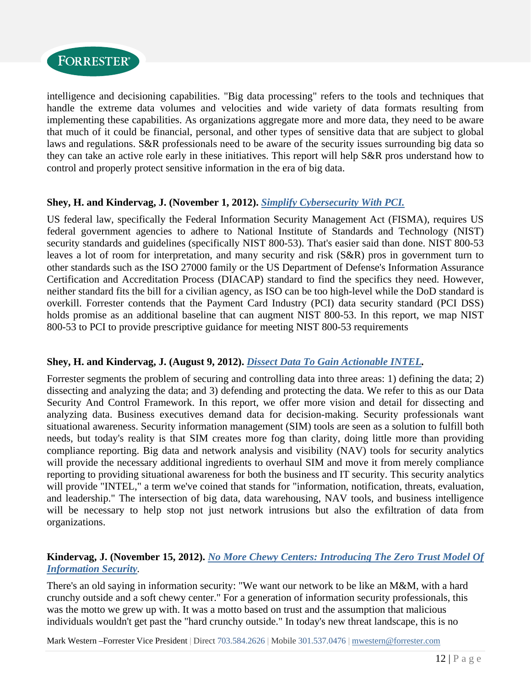

intelligence and decisioning capabilities. "Big data processing" refers to the tools and techniques that handle the extreme data volumes and velocities and wide variety of data formats resulting from implementing these capabilities. As organizations aggregate more and more data, they need to be aware that much of it could be financial, personal, and other types of sensitive data that are subject to global laws and regulations. S&R professionals need to be aware of the security issues surrounding big data so they can take an active role early in these initiatives. This report will help S&R pros understand how to control and properly protect sensitive information in the era of big data.

#### **Shey, H. and Kindervag, J. (November 1, 2012).** *Simplify Cybersecurity With PCI.*

US federal law, specifically the Federal Information Security Management Act (FISMA), requires US federal government agencies to adhere to National Institute of Standards and Technology (NIST) security standards and guidelines (specifically NIST 800-53). That's easier said than done. NIST 800-53 leaves a lot of room for interpretation, and many security and risk (S&R) pros in government turn to other standards such as the ISO 27000 family or the US Department of Defense's Information Assurance Certification and Accreditation Process (DIACAP) standard to find the specifics they need. However, neither standard fits the bill for a civilian agency, as ISO can be too high-level while the DoD standard is overkill. Forrester contends that the Payment Card Industry (PCI) data security standard (PCI DSS) holds promise as an additional baseline that can augment NIST 800-53. In this report, we map NIST 800-53 to PCI to provide prescriptive guidance for meeting NIST 800-53 requirements

#### **Shey, H. and Kindervag, J. (August 9, 2012).** *Dissect Data To Gain Actionable INTEL.*

Forrester segments the problem of securing and controlling data into three areas: 1) defining the data; 2) dissecting and analyzing the data; and 3) defending and protecting the data. We refer to this as our Data Security And Control Framework. In this report, we offer more vision and detail for dissecting and analyzing data. Business executives demand data for decision-making. Security professionals want situational awareness. Security information management (SIM) tools are seen as a solution to fulfill both needs, but today's reality is that SIM creates more fog than clarity, doing little more than providing compliance reporting. Big data and network analysis and visibility (NAV) tools for security analytics will provide the necessary additional ingredients to overhaul SIM and move it from merely compliance reporting to providing situational awareness for both the business and IT security. This security analytics will provide "INTEL," a term we've coined that stands for "information, notification, threats, evaluation, and leadership." The intersection of big data, data warehousing, NAV tools, and business intelligence will be necessary to help stop not just network intrusions but also the exfiltration of data from organizations.

#### **Kindervag, J. (November 15, 2012).** *No More Chewy Centers: Introducing The Zero Trust Model Of Information Security.*

There's an old saying in information security: "We want our network to be like an M&M, with a hard crunchy outside and a soft chewy center." For a generation of information security professionals, this was the motto we grew up with. It was a motto based on trust and the assumption that malicious individuals wouldn't get past the "hard crunchy outside." In today's new threat landscape, this is no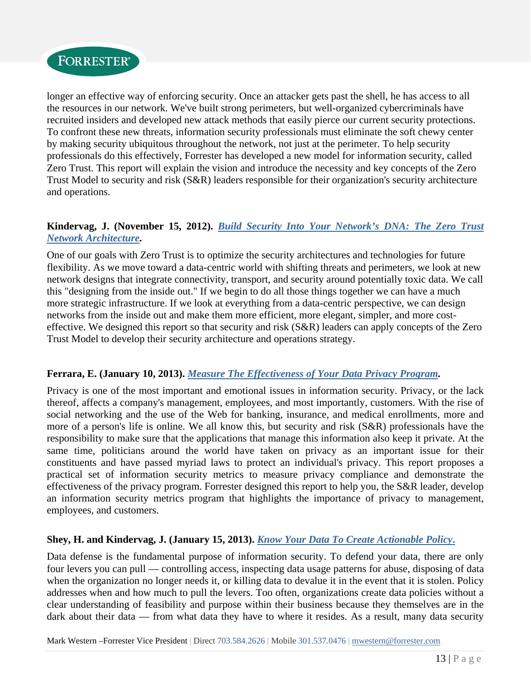

longer an effective way of enforcing security. Once an attacker gets past the shell, he has access to all the resources in our network. We've built strong perimeters, but well-organized cybercriminals have recruited insiders and developed new attack methods that easily pierce our current security protections. To confront these new threats, information security professionals must eliminate the soft chewy center by making security ubiquitous throughout the network, not just at the perimeter. To help security professionals do this effectively, Forrester has developed a new model for information security, called Zero Trust. This report will explain the vision and introduce the necessity and key concepts of the Zero Trust Model to security and risk (S&R) leaders responsible for their organization's security architecture and operations.

#### **Kindervag, J. (November 15, 2012).** *Build Security Into Your Network's DNA: The Zero Trust Network Architecture.*

One of our goals with Zero Trust is to optimize the security architectures and technologies for future flexibility. As we move toward a data-centric world with shifting threats and perimeters, we look at new network designs that integrate connectivity, transport, and security around potentially toxic data. We call this "designing from the inside out." If we begin to do all those things together we can have a much more strategic infrastructure. If we look at everything from a data-centric perspective, we can design networks from the inside out and make them more efficient, more elegant, simpler, and more costeffective. We designed this report so that security and risk (S&R) leaders can apply concepts of the Zero Trust Model to develop their security architecture and operations strategy.

#### **Ferrara, E. (January 10, 2013).** *Measure The Effectiveness of Your Data Privacy Program.*

Privacy is one of the most important and emotional issues in information security. Privacy, or the lack thereof, affects a company's management, employees, and most importantly, customers. With the rise of social networking and the use of the Web for banking, insurance, and medical enrollments, more and more of a person's life is online. We all know this, but security and risk (S&R) professionals have the responsibility to make sure that the applications that manage this information also keep it private. At the same time, politicians around the world have taken on privacy as an important issue for their constituents and have passed myriad laws to protect an individual's privacy. This report proposes a practical set of information security metrics to measure privacy compliance and demonstrate the effectiveness of the privacy program. Forrester designed this report to help you, the S&R leader, develop an information security metrics program that highlights the importance of privacy to management, employees, and customers.

#### **Shey, H. and Kindervag, J. (January 15, 2013).** *Know Your Data To Create Actionable Policy***.**

Data defense is the fundamental purpose of information security. To defend your data, there are only four levers you can pull — controlling access, inspecting data usage patterns for abuse, disposing of data when the organization no longer needs it, or killing data to devalue it in the event that it is stolen. Policy addresses when and how much to pull the levers. Too often, organizations create data policies without a clear understanding of feasibility and purpose within their business because they themselves are in the dark about their data — from what data they have to where it resides. As a result, many data security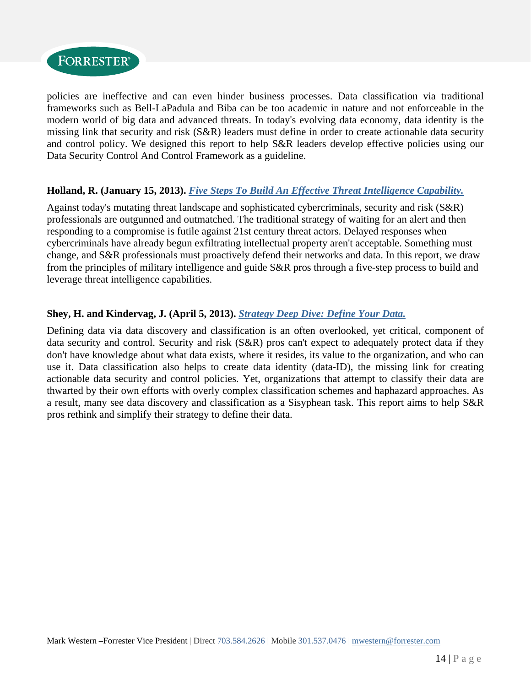

policies are ineffective and can even hinder business processes. Data classification via traditional frameworks such as Bell-LaPadula and Biba can be too academic in nature and not enforceable in the modern world of big data and advanced threats. In today's evolving data economy, data identity is the missing link that security and risk (S&R) leaders must define in order to create actionable data security and control policy. We designed this report to help S&R leaders develop effective policies using our Data Security Control And Control Framework as a guideline.

#### **Holland, R. (January 15, 2013).** *Five Steps To Build An Effective Threat Intelligence Capability.*

Against today's mutating threat landscape and sophisticated cybercriminals, security and risk (S&R) professionals are outgunned and outmatched. The traditional strategy of waiting for an alert and then responding to a compromise is futile against 21st century threat actors. Delayed responses when cybercriminals have already begun exfiltrating intellectual property aren't acceptable. Something must change, and S&R professionals must proactively defend their networks and data. In this report, we draw from the principles of military intelligence and guide S&R pros through a five-step process to build and leverage threat intelligence capabilities.

#### **Shey, H. and Kindervag, J. (April 5, 2013).** *Strategy Deep Dive: Define Your Data.*

Defining data via data discovery and classification is an often overlooked, yet critical, component of data security and control. Security and risk (S&R) pros can't expect to adequately protect data if they don't have knowledge about what data exists, where it resides, its value to the organization, and who can use it. Data classification also helps to create data identity (data-ID), the missing link for creating actionable data security and control policies. Yet, organizations that attempt to classify their data are thwarted by their own efforts with overly complex classification schemes and haphazard approaches. As a result, many see data discovery and classification as a Sisyphean task. This report aims to help S&R pros rethink and simplify their strategy to define their data.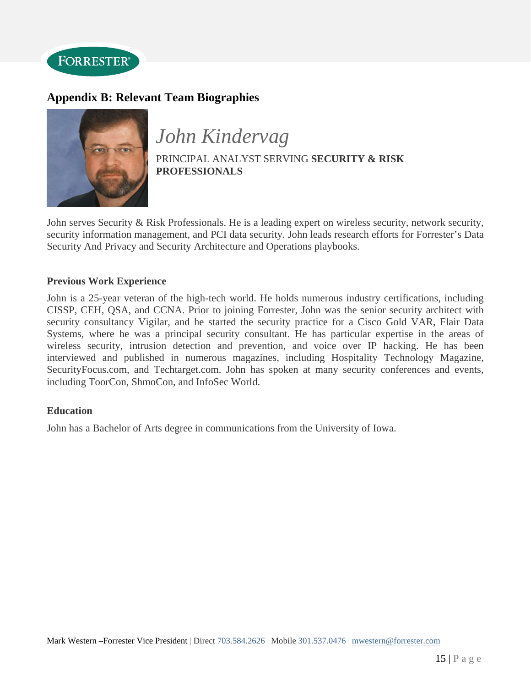

## **Appendix B: Relevant Team Biographies**



*John Kindervag* 

PRINCIPAL ANALYST SERVING **SECURITY & RISK PROFESSIONALS** 

John serves Security & Risk Professionals. He is a leading expert on wireless security, network security, security information management, and PCI data security. John leads research efforts for Forrester's Data Security And Privacy and Security Architecture and Operations playbooks.

#### **Previous Work Experience**

John is a 25-year veteran of the high-tech world. He holds numerous industry certifications, including CISSP, CEH, QSA, and CCNA. Prior to joining Forrester, John was the senior security architect with security consultancy Vigilar, and he started the security practice for a Cisco Gold VAR, Flair Data Systems, where he was a principal security consultant. He has particular expertise in the areas of wireless security, intrusion detection and prevention, and voice over IP hacking. He has been interviewed and published in numerous magazines, including Hospitality Technology Magazine, SecurityFocus.com, and Techtarget.com. John has spoken at many security conferences and events, including ToorCon, ShmoCon, and InfoSec World.

#### **Education**

John has a Bachelor of Arts degree in communications from the University of Iowa.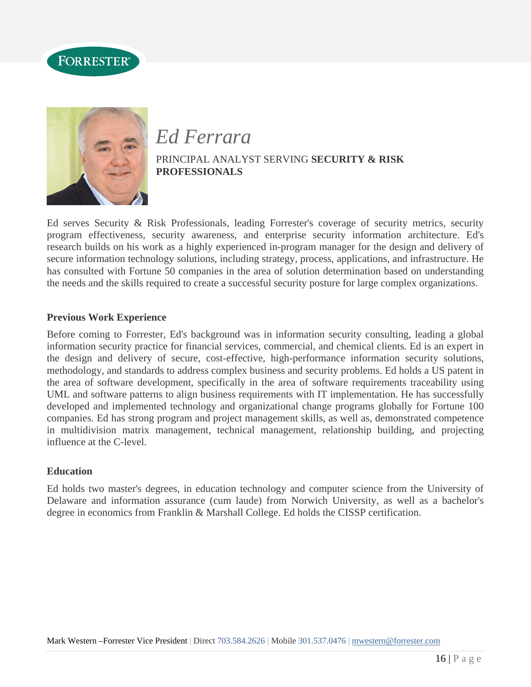



# *Ed Ferrara*  PRINCIPAL ANALYST SERVING **SECURITY & RISK PROFESSIONALS**

Ed serves Security & Risk Professionals, leading Forrester's coverage of security metrics, security program effectiveness, security awareness, and enterprise security information architecture. Ed's research builds on his work as a highly experienced in-program manager for the design and delivery of secure information technology solutions, including strategy, process, applications, and infrastructure. He has consulted with Fortune 50 companies in the area of solution determination based on understanding the needs and the skills required to create a successful security posture for large complex organizations.

#### **Previous Work Experience**

Before coming to Forrester, Ed's background was in information security consulting, leading a global information security practice for financial services, commercial, and chemical clients. Ed is an expert in the design and delivery of secure, cost-effective, high-performance information security solutions, methodology, and standards to address complex business and security problems. Ed holds a US patent in the area of software development, specifically in the area of software requirements traceability using UML and software patterns to align business requirements with IT implementation. He has successfully developed and implemented technology and organizational change programs globally for Fortune 100 companies. Ed has strong program and project management skills, as well as, demonstrated competence in multidivision matrix management, technical management, relationship building, and projecting influence at the C-level.

#### **Education**

Ed holds two master's degrees, in education technology and computer science from the University of Delaware and information assurance (cum laude) from Norwich University, as well as a bachelor's degree in economics from Franklin & Marshall College. Ed holds the CISSP certification.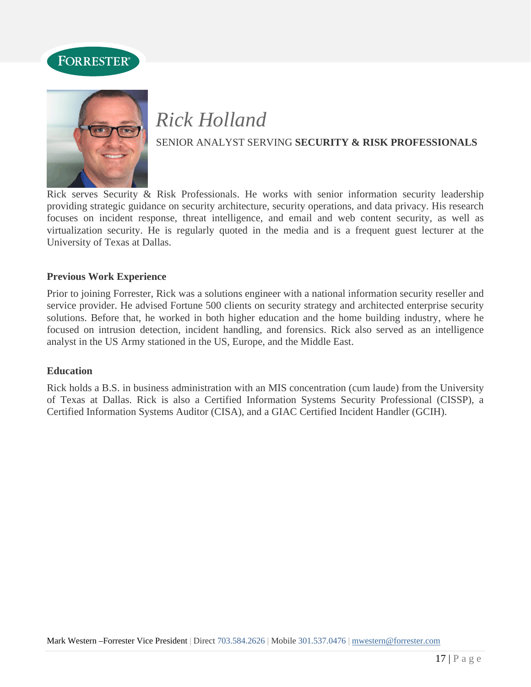



# *Rick Holland*  SENIOR ANALYST SERVING **SECURITY & RISK PROFESSIONALS**

Rick serves Security & Risk Professionals. He works with senior information security leadership providing strategic guidance on security architecture, security operations, and data privacy. His research focuses on incident response, threat intelligence, and email and web content security, as well as virtualization security. He is regularly quoted in the media and is a frequent guest lecturer at the University of Texas at Dallas.

#### **Previous Work Experience**

Prior to joining Forrester, Rick was a solutions engineer with a national information security reseller and service provider. He advised Fortune 500 clients on security strategy and architected enterprise security solutions. Before that, he worked in both higher education and the home building industry, where he focused on intrusion detection, incident handling, and forensics. Rick also served as an intelligence analyst in the US Army stationed in the US, Europe, and the Middle East.

#### **Education**

Rick holds a B.S. in business administration with an MIS concentration (cum laude) from the University of Texas at Dallas. Rick is also a Certified Information Systems Security Professional (CISSP), a Certified Information Systems Auditor (CISA), and a GIAC Certified Incident Handler (GCIH).